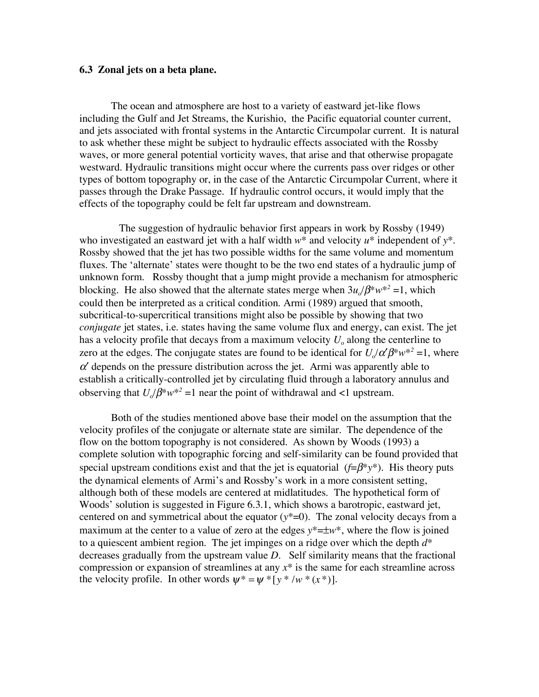## **6.3 Zonal jets on a beta plane.**

The ocean and atmosphere are host to a variety of eastward jet-like flows including the Gulf and Jet Streams, the Kurishio, the Pacific equatorial counter current, and jets associated with frontal systems in the Antarctic Circumpolar current. It is natural to ask whether these might be subject to hydraulic effects associated with the Rossby waves, or more general potential vorticity waves, that arise and that otherwise propagate westward. Hydraulic transitions might occur where the currents pass over ridges or other types of bottom topography or, in the case of the Antarctic Circumpolar Current, where it passes through the Drake Passage. If hydraulic control occurs, it would imply that the effects of the topography could be felt far upstream and downstream.

The suggestion of hydraulic behavior first appears in work by Rossby (1949) who investigated an eastward jet with a half width *w*\* and velocity *u*\* independent of *y*\*. Rossby showed that the jet has two possible widths for the same volume and momentum fluxes. The 'alternate' states were thought to be the two end states of a hydraulic jump of unknown form. Rossby thought that a jump might provide a mechanism for atmospheric blocking. He also showed that the alternate states merge when  $3u_a/\beta^*w^{*2} = 1$ , which could then be interpreted as a critical condition. Armi (1989) argued that smooth, subcritical-to-supercritical transitions might also be possible by showing that two *conjugate* jet states, i.e. states having the same volume flux and energy, can exist. The jet has a velocity profile that decays from a maximum velocity  $U_0$  along the centerline to zero at the edges. The conjugate states are found to be identical for  $U/\alpha' \beta^* w^{*2} = 1$ , where  $\alpha'$  depends on the pressure distribution across the jet. Armi was apparently able to establish a critically-controlled jet by circulating fluid through a laboratory annulus and observing that  $U_a/\beta^* w^{*2} = 1$  near the point of withdrawal and <1 upstream.

Both of the studies mentioned above base their model on the assumption that the velocity profiles of the conjugate or alternate state are similar. The dependence of the flow on the bottom topography is not considered. As shown by Woods (1993) a complete solution with topographic forcing and self-similarity can be found provided that special upstream conditions exist and that the jet is equatorial (*f*=β\**y*\*). His theory puts the dynamical elements of Armi's and Rossby's work in a more consistent setting, although both of these models are centered at midlatitudes. The hypothetical form of Woods' solution is suggested in Figure 6.3.1, which shows a barotropic, eastward jet, centered on and symmetrical about the equator  $(y^*=0)$ . The zonal velocity decays from a maximum at the center to a value of zero at the edges  $y^* = \pm w^*$ , where the flow is joined to a quiescent ambient region. The jet impinges on a ridge over which the depth *d*\* decreases gradually from the upstream value *D*. Self similarity means that the fractional compression or expansion of streamlines at any *x*\* is the same for each streamline across the velocity profile. In other words  $\psi^* = \psi^* [y^* / w^* (x^*)].$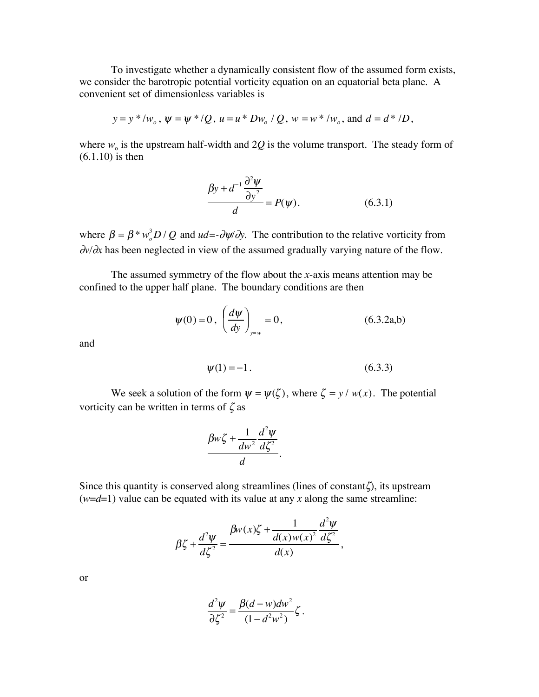To investigate whether a dynamically consistent flow of the assumed form exists, we consider the barotropic potential vorticity equation on an equatorial beta plane. A convenient set of dimensionless variables is

$$
y = y * / w_o
$$
,  $\psi = \psi * / Q$ ,  $u = u * Dw_o / Q$ ,  $w = w * / w_o$ , and  $d = d * / D$ ,

where  $w_0$  is the upstream half-width and 2Q is the volume transport. The steady form of (6.1.10) is then

$$
\frac{\beta y + d^{-1} \frac{\partial^2 \psi}{\partial y^2}}{d} = P(\psi). \tag{6.3.1}
$$

where  $\beta = \beta * w_o^3 D / Q$  and  $ud = -\partial \psi / \partial y$ . The contribution to the relative vorticity from ∂*v/*∂*x* has been neglected in view of the assumed gradually varying nature of the flow.

The assumed symmetry of the flow about the *x*-axis means attention may be confined to the upper half plane. The boundary conditions are then

$$
\psi(0) = 0, \left(\frac{d\psi}{dy}\right)_{y=w} = 0,
$$
\n(6.3.2a,b)

and

$$
\psi(1) = -1. \tag{6.3.3}
$$

We seek a solution of the form  $\psi = \psi(\zeta)$ , where  $\zeta = y / w(x)$ . The potential vorticity can be written in terms of  $\zeta$  as

$$
\frac{\beta w \zeta + \frac{1}{dw^2} \frac{d^2 \psi}{d \zeta^2}}{d}.
$$

Since this quantity is conserved along streamlines (lines of constant $\zeta$ ), its upstream  $(w=d=1)$  value can be equated with its value at any *x* along the same streamline:

$$
\beta \zeta + \frac{d^2 \psi}{d \zeta^2} = \frac{\beta w(x) \zeta + \frac{1}{d(x)w(x)^2} \frac{d^2 \psi}{d \zeta^2}}{d(x)},
$$

or

$$
\frac{d^2\psi}{\partial \zeta^2} = \frac{\beta(d-w)dw^2}{(1-d^2w^2)}\zeta.
$$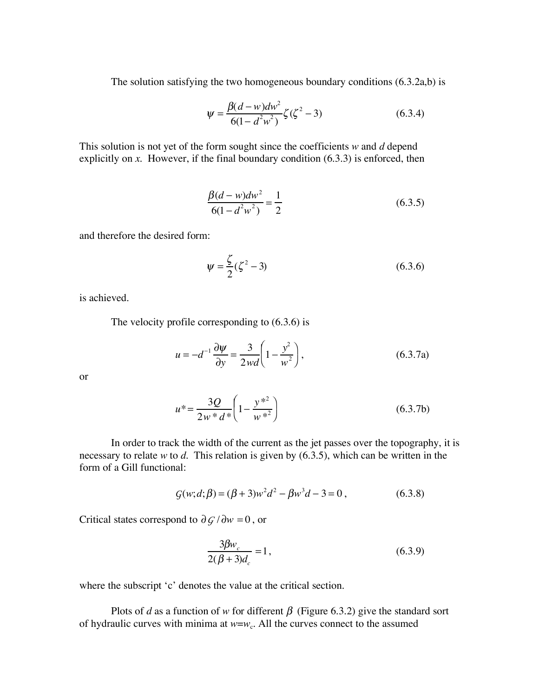The solution satisfying the two homogeneous boundary conditions (6.3.2a,b) is

$$
\psi = \frac{\beta(d - w)dw^2}{6(1 - d^2w^2)} \zeta(\zeta^2 - 3)
$$
\n(6.3.4)

This solution is not yet of the form sought since the coefficients *w* and *d* depend explicitly on *x*. However, if the final boundary condition (6.3.3) is enforced, then

$$
\frac{\beta(d - w)dw^2}{6(1 - d^2w^2)} = \frac{1}{2}
$$
\n(6.3.5)

and therefore the desired form:

$$
\psi = \frac{\zeta}{2} (\zeta^2 - 3) \tag{6.3.6}
$$

is achieved.

The velocity profile corresponding to (6.3.6) is

$$
u = -d^{-1} \frac{\partial \psi}{\partial y} = \frac{3}{2 \, w \, d} \left( 1 - \frac{y^2}{w^2} \right),\tag{6.3.7a}
$$

or

$$
u^* = \frac{3Q}{2w^* d^*} \left( 1 - \frac{y^{*2}}{w^{*2}} \right)
$$
 (6.3.7b)

In order to track the width of the current as the jet passes over the topography, it is necessary to relate *w* to *d.* This relation is given by (6.3.5), which can be written in the form of a Gill functional:

$$
G(w; d; \beta) = (\beta + 3)w^{2}d^{2} - \beta w^{3}d - 3 = 0,
$$
\n(6.3.8)

Critical states correspond to  $\partial \mathcal{G}/\partial w = 0$ , or

$$
\frac{3\beta w_c}{2(\beta + 3)d_c} = 1,
$$
\n(6.3.9)

where the subscript 'c' denotes the value at the critical section.

Plots of *d* as a function of *w* for different  $\beta$  (Figure 6.3.2) give the standard sort of hydraulic curves with minima at  $w=w_c$ . All the curves connect to the assumed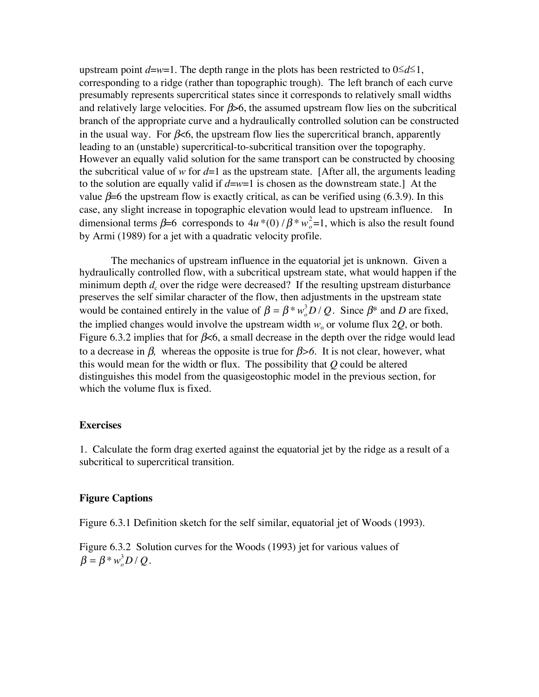upstream point  $d=w=1$ . The depth range in the plots has been restricted to  $0\leq d\leq 1$ , corresponding to a ridge (rather than topographic trough). The left branch of each curve presumably represents supercritical states since it corresponds to relatively small widths and relatively large velocities. For  $\beta$  –6, the assumed upstream flow lies on the subcritical branch of the appropriate curve and a hydraulically controlled solution can be constructed in the usual way. For  $\beta \leq 6$ , the upstream flow lies the supercritical branch, apparently leading to an (unstable) supercritical-to-subcritical transition over the topography. However an equally valid solution for the same transport can be constructed by choosing the subcritical value of *w* for  $d=1$  as the upstream state. [After all, the arguments leading to the solution are equally valid if  $d=w=1$  is chosen as the downstream state.] At the value  $\beta$ =6 the upstream flow is exactly critical, as can be verified using (6.3.9). In this case, any slight increase in topographic elevation would lead to upstream influence. In dimensional terms  $\beta = 6$  corresponds to  $4u * (0) / \beta * w_o^2 = 1$ , which is also the result found by Armi (1989) for a jet with a quadratic velocity profile.

The mechanics of upstream influence in the equatorial jet is unknown. Given a hydraulically controlled flow, with a subcritical upstream state, what would happen if the minimum depth  $d_c$  over the ridge were decreased? If the resulting upstream disturbance preserves the self similar character of the flow, then adjustments in the upstream state would be contained entirely in the value of  $\beta = \beta * w_o^3 D / Q$ . Since  $\beta^*$  and *D* are fixed, the implied changes would involve the upstream width  $w_0$  or volume flux 2Q, or both. Figure 6.3.2 implies that for  $\beta$ <6, a small decrease in the depth over the ridge would lead to a decrease in β*,* whereas the opposite is true for β*>6.* It is not clear, however, what this would mean for the width or flux. The possibility that *Q* could be altered distinguishes this model from the quasigeostophic model in the previous section, for which the volume flux is fixed.

## **Exercises**

1. Calculate the form drag exerted against the equatorial jet by the ridge as a result of a subcritical to supercritical transition.

## **Figure Captions**

Figure 6.3.1 Definition sketch for the self similar, equatorial jet of Woods (1993).

Figure 6.3.2 Solution curves for the Woods (1993) jet for various values of  $\beta = \beta * w_o^3 D / Q.$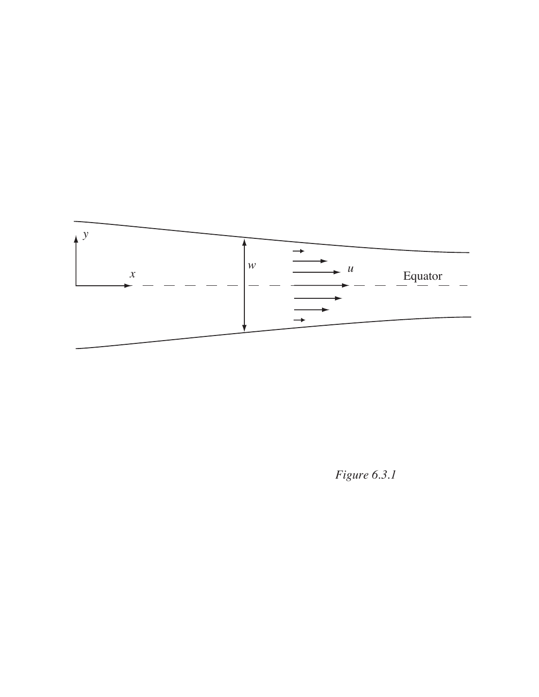

*Figure 6.3.1*